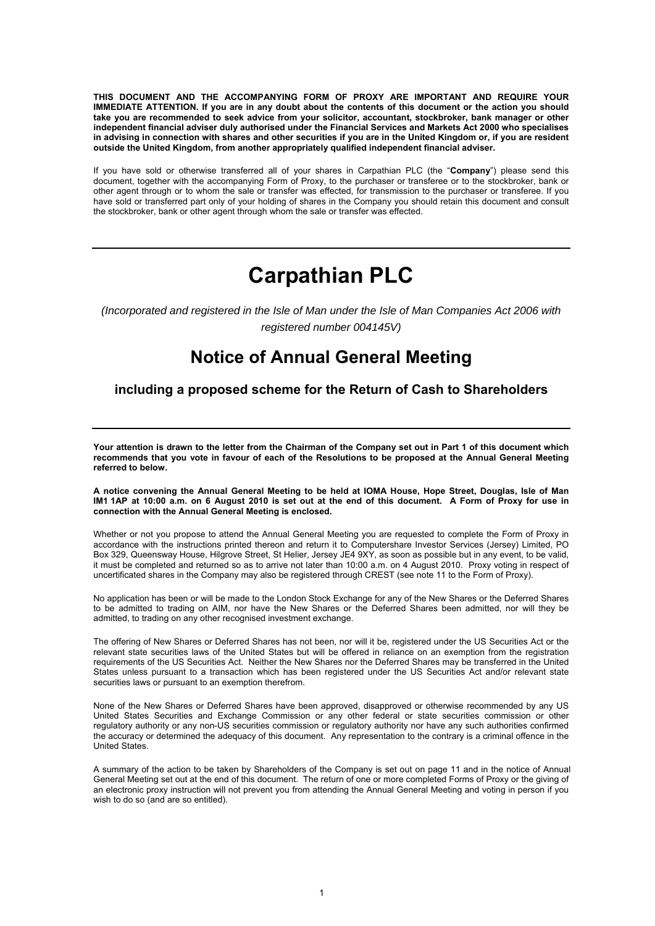**THIS DOCUMENT AND THE ACCOMPANYING FORM OF PROXY ARE IMPORTANT AND REQUIRE YOUR IMMEDIATE ATTENTION. If you are in any doubt about the contents of this document or the action you should take you are recommended to seek advice from your solicitor, accountant, stockbroker, bank manager or other independent financial adviser duly authorised under the Financial Services and Markets Act 2000 who specialises in advising in connection with shares and other securities if you are in the United Kingdom or, if you are resident outside the United Kingdom, from another appropriately qualified independent financial adviser.** 

If you have sold or otherwise transferred all of your shares in Carpathian PLC (the "**Company**") please send this document, together with the accompanying Form of Proxy, to the purchaser or transferee or to the stockbroker, bank or other agent through or to whom the sale or transfer was effected, for transmission to the purchaser or transferee. If you have sold or transferred part only of your holding of shares in the Company you should retain this document and consult the stockbroker, bank or other agent through whom the sale or transfer was effected.

# **Carpathian PLC**

*(Incorporated and registered in the Isle of Man under the Isle of Man Companies Act 2006 with registered number 004145V)* 

# **Notice of Annual General Meeting**

## **including a proposed scheme for the Return of Cash to Shareholders**

**Your attention is drawn to the letter from the Chairman of the Company set out in Part 1 of this document which recommends that you vote in favour of each of the Resolutions to be proposed at the Annual General Meeting referred to below.** 

**A notice convening the Annual General Meeting to be held at IOMA House, Hope Street, Douglas, Isle of Man IM1 1AP at 10:00 a.m. on 6 August 2010 is set out at the end of this document. A Form of Proxy for use in connection with the Annual General Meeting is enclosed.** 

Whether or not you propose to attend the Annual General Meeting you are requested to complete the Form of Proxy in accordance with the instructions printed thereon and return it to Computershare Investor Services (Jersey) Limited, PO Box 329, Queensway House, Hilgrove Street, St Helier, Jersey JE4 9XY, as soon as possible but in any event, to be valid, it must be completed and returned so as to arrive not later than 10:00 a.m. on 4 August 2010. Proxy voting in respect of uncertificated shares in the Company may also be registered through CREST (see note 11 to the Form of Proxy).

No application has been or will be made to the London Stock Exchange for any of the New Shares or the Deferred Shares to be admitted to trading on AIM, nor have the New Shares or the Deferred Shares been admitted, nor will they be admitted, to trading on any other recognised investment exchange.

The offering of New Shares or Deferred Shares has not been, nor will it be, registered under the US Securities Act or the relevant state securities laws of the United States but will be offered in reliance on an exemption from the registration requirements of the US Securities Act. Neither the New Shares nor the Deferred Shares may be transferred in the United States unless pursuant to a transaction which has been registered under the US Securities Act and/or relevant state securities laws or pursuant to an exemption therefrom.

None of the New Shares or Deferred Shares have been approved, disapproved or otherwise recommended by any US United States Securities and Exchange Commission or any other federal or state securities commission or other regulatory authority or any non-US securities commission or regulatory authority nor have any such authorities confirmed the accuracy or determined the adequacy of this document. Any representation to the contrary is a criminal offence in the United States.

General Meeting set out at the end of this document. The return of one or more completed Forms of Proxy or the giving of an electronic proxy instruction will not prevent you from attending the Annual General Meeting and voting in person if you wish to do so (and are so entitled). A summary of the action to be taken by Shareholders of the Company is set out on page 11 and in the notice of Annual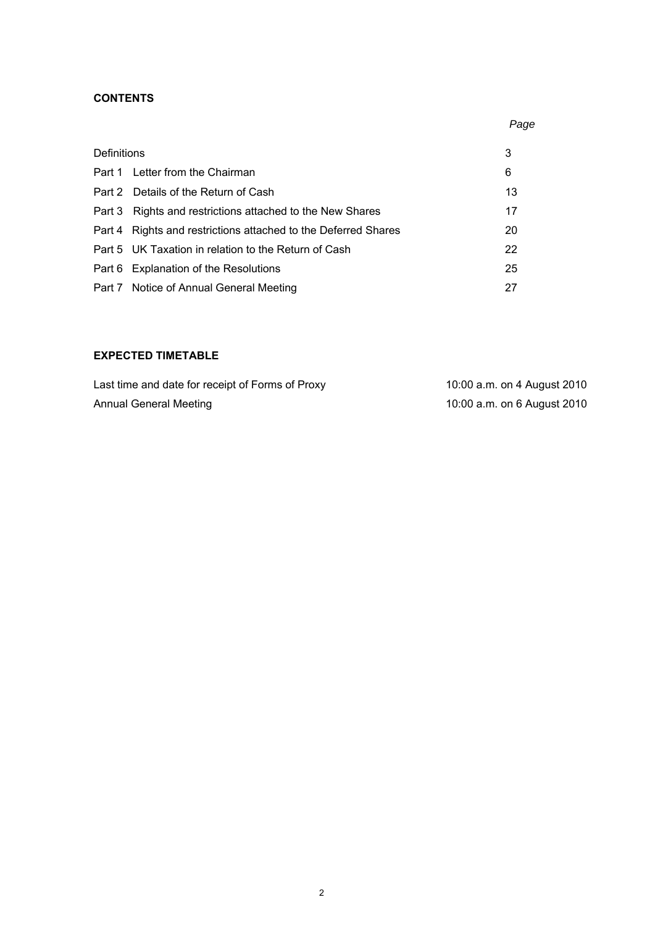# **CONTENTS**

|             |                                                                | Page |
|-------------|----------------------------------------------------------------|------|
| Definitions |                                                                | 3    |
|             | Part 1 Letter from the Chairman                                | 6    |
|             | Part 2 Details of the Return of Cash                           | 13   |
| Part 3      | Rights and restrictions attached to the New Shares             | 17   |
|             | Part 4 Rights and restrictions attached to the Deferred Shares | 20   |
|             | Part 5 UK Taxation in relation to the Return of Cash           | 22   |
|             | Part 6 Explanation of the Resolutions                          | 25   |
|             | Part 7 Notice of Annual General Meeting                        | 27   |

# **EXPECTED TIMETABLE**

| Last time and date for receipt of Forms of Proxy | 10:00 a.m. on 4 August 2010 |
|--------------------------------------------------|-----------------------------|
| Annual General Meeting                           | 10:00 a.m. on 6 August 2010 |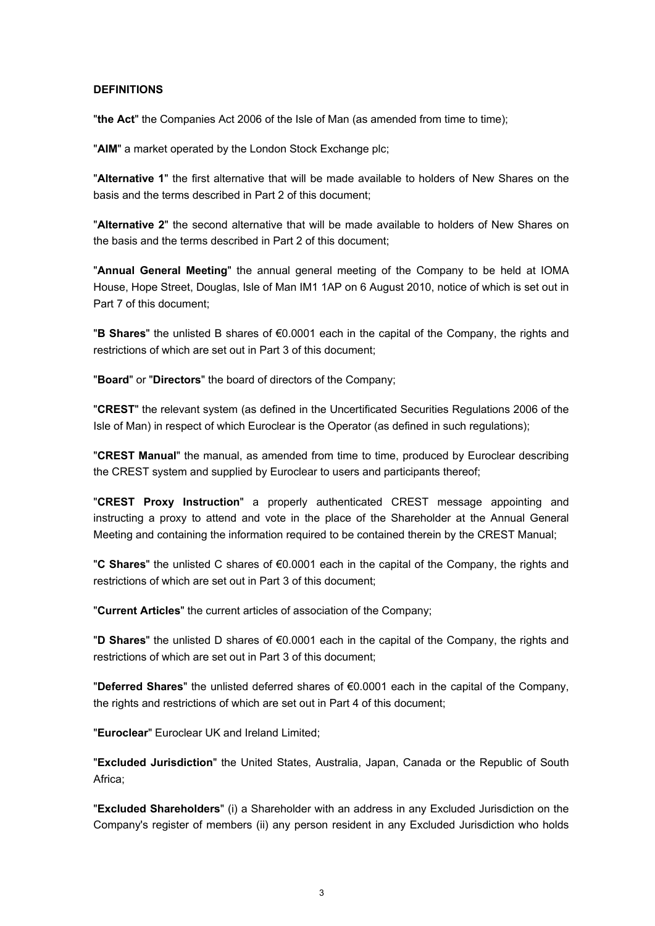#### **DEFINITIONS**

"**the Act**" the Companies Act 2006 of the Isle of Man (as amended from time to time);

"**AIM**" a market operated by the London Stock Exchange plc;

"**Alternative 1**" the first alternative that will be made available to holders of New Shares on the basis and the terms described in Part 2 of this document;

"**Alternative 2**" the second alternative that will be made available to holders of New Shares on the basis and the terms described in Part 2 of this document;

"**Annual General Meeting**" the annual general meeting of the Company to be held at IOMA House, Hope Street, Douglas, Isle of Man IM1 1AP on 6 August 2010, notice of which is set out in Part 7 of this document;

"**B Shares**" the unlisted B shares of €0.0001 each in the capital of the Company, the rights and restrictions of which are set out in Part 3 of this document;

"**Board**" or "**Directors**" the board of directors of the Company;

"**CREST**" the relevant system (as defined in the Uncertificated Securities Regulations 2006 of the Isle of Man) in respect of which Euroclear is the Operator (as defined in such regulations);

"**CREST Manual**" the manual, as amended from time to time, produced by Euroclear describing the CREST system and supplied by Euroclear to users and participants thereof;

"**CREST Proxy Instruction**" a properly authenticated CREST message appointing and instructing a proxy to attend and vote in the place of the Shareholder at the Annual General Meeting and containing the information required to be contained therein by the CREST Manual;

"**C Shares**" the unlisted C shares of €0.0001 each in the capital of the Company, the rights and restrictions of which are set out in Part 3 of this document;

"**Current Articles**" the current articles of association of the Company;

"**D Shares**" the unlisted D shares of €0.0001 each in the capital of the Company, the rights and restrictions of which are set out in Part 3 of this document;

"**Deferred Shares**" the unlisted deferred shares of €0.0001 each in the capital of the Company, the rights and restrictions of which are set out in Part 4 of this document;

"**Euroclear**" Euroclear UK and Ireland Limited;

"**Excluded Jurisdiction**" the United States, Australia, Japan, Canada or the Republic of South Africa<sup>:</sup>

"**Excluded Shareholders**" (i) a Shareholder with an address in any Excluded Jurisdiction on the Company's register of members (ii) any person resident in any Excluded Jurisdiction who holds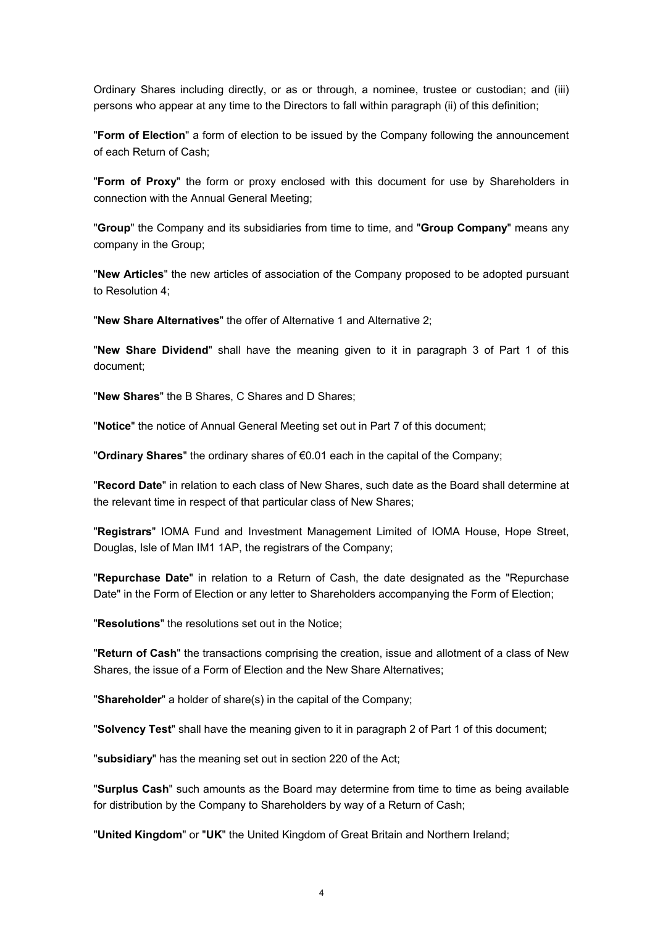Ordinary Shares including directly, or as or through, a nominee, trustee or custodian; and (iii) persons who appear at any time to the Directors to fall within paragraph (ii) of this definition;

"**Form of Election**" a form of election to be issued by the Company following the announcement of each Return of Cash;

"**Form of Proxy**" the form or proxy enclosed with this document for use by Shareholders in connection with the Annual General Meeting;

"**Group**" the Company and its subsidiaries from time to time, and "**Group Company**" means any company in the Group;

"**New Articles**" the new articles of association of the Company proposed to be adopted pursuant to Resolution 4;

"**New Share Alternatives**" the offer of Alternative 1 and Alternative 2;

"**New Share Dividend**" shall have the meaning given to it in paragraph 3 of Part 1 of this document;

"**New Shares**" the B Shares, C Shares and D Shares;

"**Notice**" the notice of Annual General Meeting set out in Part 7 of this document;

"**Ordinary Shares**" the ordinary shares of €0.01 each in the capital of the Company;

"**Record Date**" in relation to each class of New Shares, such date as the Board shall determine at the relevant time in respect of that particular class of New Shares;

"**Registrars**" IOMA Fund and Investment Management Limited of IOMA House, Hope Street, Douglas, Isle of Man IM1 1AP, the registrars of the Company;

"**Repurchase Date**" in relation to a Return of Cash, the date designated as the "Repurchase Date" in the Form of Election or any letter to Shareholders accompanying the Form of Election;

"**Resolutions**" the resolutions set out in the Notice;

"**Return of Cash**" the transactions comprising the creation, issue and allotment of a class of New Shares, the issue of a Form of Election and the New Share Alternatives;

"**Shareholder**" a holder of share(s) in the capital of the Company;

"**Solvency Test**" shall have the meaning given to it in paragraph 2 of Part 1 of this document;

"**subsidiary**" has the meaning set out in section 220 of the Act;

"**Surplus Cash**" such amounts as the Board may determine from time to time as being available for distribution by the Company to Shareholders by way of a Return of Cash;

"**United Kingdom**" or "**UK**" the United Kingdom of Great Britain and Northern Ireland;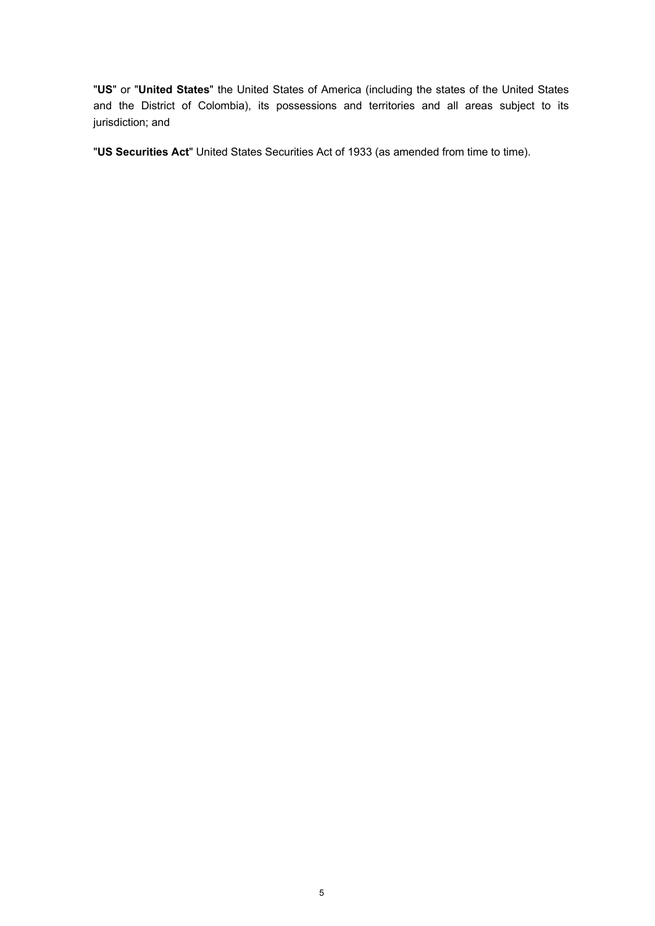"**US**" or "**United States**" the United States of America (including the states of the United States and the District of Colombia), its possessions and territories and all areas subject to its jurisdiction; and

"**US Securities Act**" United States Securities Act of 1933 (as amended from time to time).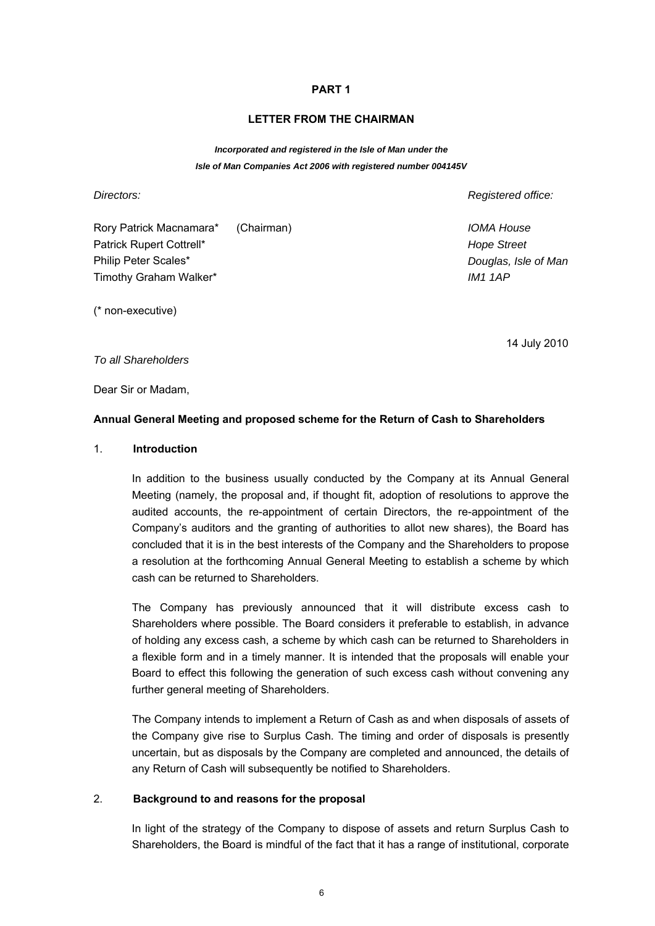#### **LETTER FROM THE CHAIRMAN**

*Incorporated and registered in the Isle of Man under the Isle of Man Companies Act 2006 with registered number 004145V* 

*Directors:* 

*Registered office:* 

*Douglas, Isle of Man* 

*IOMA House Hope Street* 

*IM1 1AP* 

Rory Patrick Macnamara\* (Chairman) Patrick Rupert Cottrell\* Philip Peter Scales\* Timothy Graham Walker\*

(\* non-executive)

14 July 2010

*To all Shareholders* 

Dear Sir or Madam,

#### **Annual General Meeting and proposed scheme for the Return of Cash to Shareholders**

#### 1. **Introduction**

In addition to the business usually conducted by the Company at its Annual General Meeting (namely, the proposal and, if thought fit, adoption of resolutions to approve the audited accounts, the re-appointment of certain Directors, the re-appointment of the Company's auditors and the granting of authorities to allot new shares), the Board has concluded that it is in the best interests of the Company and the Shareholders to propose a resolution at the forthcoming Annual General Meeting to establish a scheme by which cash can be returned to Shareholders.

The Company has previously announced that it will distribute excess cash to Shareholders where possible. The Board considers it preferable to establish, in advance of holding any excess cash, a scheme by which cash can be returned to Shareholders in a flexible form and in a timely manner. It is intended that the proposals will enable your Board to effect this following the generation of such excess cash without convening any further general meeting of Shareholders.

The Company intends to implement a Return of Cash as and when disposals of assets of the Company give rise to Surplus Cash. The timing and order of disposals is presently uncertain, but as disposals by the Company are completed and announced, the details of any Return of Cash will subsequently be notified to Shareholders.

#### 2. **Background to and reasons for the proposal**

In light of the strategy of the Company to dispose of assets and return Surplus Cash to Shareholders, the Board is mindful of the fact that it has a range of institutional, corporate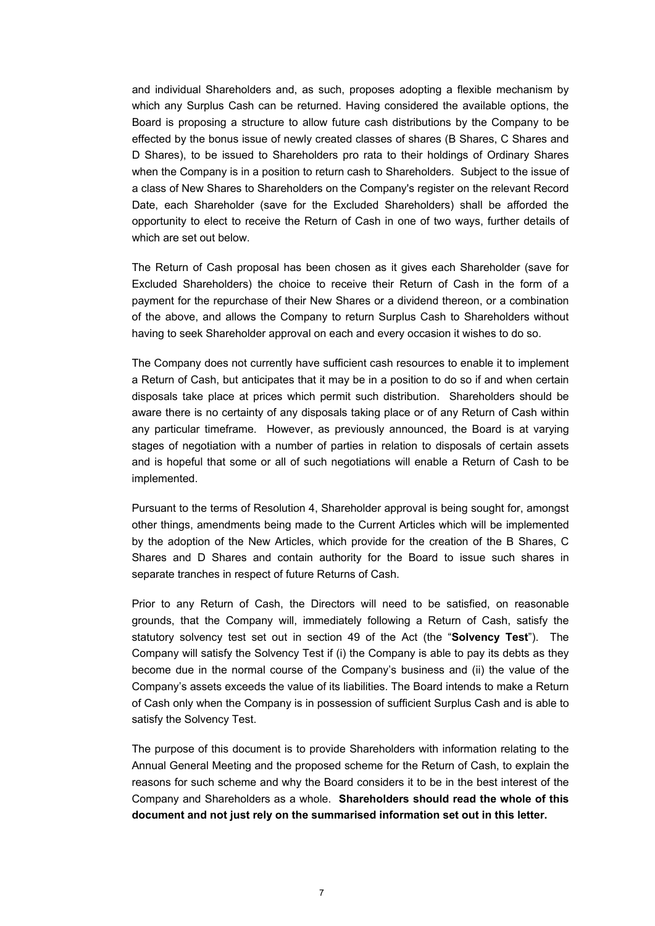and individual Shareholders and, as such, proposes adopting a flexible mechanism by which any Surplus Cash can be returned. Having considered the available options, the Board is proposing a structure to allow future cash distributions by the Company to be effected by the bonus issue of newly created classes of shares (B Shares, C Shares and D Shares), to be issued to Shareholders pro rata to their holdings of Ordinary Shares when the Company is in a position to return cash to Shareholders. Subject to the issue of a class of New Shares to Shareholders on the Company's register on the relevant Record Date, each Shareholder (save for the Excluded Shareholders) shall be afforded the opportunity to elect to receive the Return of Cash in one of two ways, further details of which are set out below.

The Return of Cash proposal has been chosen as it gives each Shareholder (save for Excluded Shareholders) the choice to receive their Return of Cash in the form of a payment for the repurchase of their New Shares or a dividend thereon, or a combination of the above, and allows the Company to return Surplus Cash to Shareholders without having to seek Shareholder approval on each and every occasion it wishes to do so.

The Company does not currently have sufficient cash resources to enable it to implement a Return of Cash, but anticipates that it may be in a position to do so if and when certain disposals take place at prices which permit such distribution. Shareholders should be aware there is no certainty of any disposals taking place or of any Return of Cash within any particular timeframe. However, as previously announced, the Board is at varying stages of negotiation with a number of parties in relation to disposals of certain assets and is hopeful that some or all of such negotiations will enable a Return of Cash to be implemented.

Pursuant to the terms of Resolution 4, Shareholder approval is being sought for, amongst other things, amendments being made to the Current Articles which will be implemented by the adoption of the New Articles, which provide for the creation of the B Shares, C Shares and D Shares and contain authority for the Board to issue such shares in separate tranches in respect of future Returns of Cash.

Prior to any Return of Cash, the Directors will need to be satisfied, on reasonable grounds, that the Company will, immediately following a Return of Cash, satisfy the statutory solvency test set out in section 49 of the Act (the "**Solvency Test**"). The Company will satisfy the Solvency Test if (i) the Company is able to pay its debts as they become due in the normal course of the Company's business and (ii) the value of the Company's assets exceeds the value of its liabilities. The Board intends to make a Return of Cash only when the Company is in possession of sufficient Surplus Cash and is able to satisfy the Solvency Test.

The purpose of this document is to provide Shareholders with information relating to the Annual General Meeting and the proposed scheme for the Return of Cash, to explain the reasons for such scheme and why the Board considers it to be in the best interest of the Company and Shareholders as a whole. **Shareholders should read the whole of this document and not just rely on the summarised information set out in this letter.**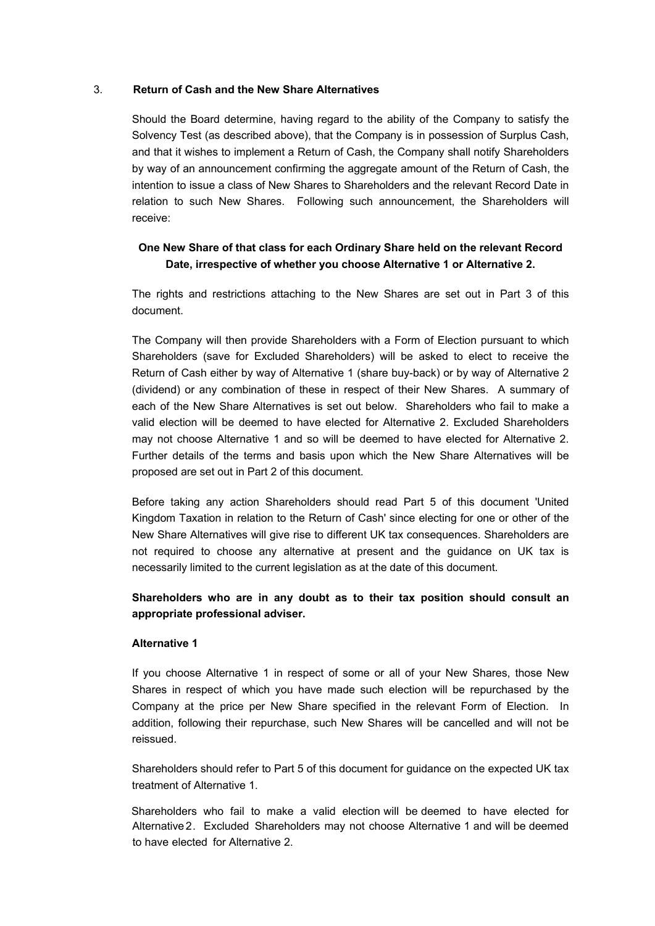#### 3. **Return of Cash and the New Share Alternatives**

Should the Board determine, having regard to the ability of the Company to satisfy the Solvency Test (as described above), that the Company is in possession of Surplus Cash, and that it wishes to implement a Return of Cash, the Company shall notify Shareholders by way of an announcement confirming the aggregate amount of the Return of Cash, the intention to issue a class of New Shares to Shareholders and the relevant Record Date in relation to such New Shares. Following such announcement, the Shareholders will receive:

# **One New Share of that class for each Ordinary Share held on the relevant Record Date, irrespective of whether you choose Alternative 1 or Alternative 2.**

The rights and restrictions attaching to the New Shares are set out in Part 3 of this document.

The Company will then provide Shareholders with a Form of Election pursuant to which Shareholders (save for Excluded Shareholders) will be asked to elect to receive the Return of Cash either by way of Alternative 1 (share buy-back) or by way of Alternative 2 (dividend) or any combination of these in respect of their New Shares. A summary of each of the New Share Alternatives is set out below. Shareholders who fail to make a valid election will be deemed to have elected for Alternative 2. Excluded Shareholders may not choose Alternative 1 and so will be deemed to have elected for Alternative 2. Further details of the terms and basis upon which the New Share Alternatives will be proposed are set out in Part 2 of this document.

Before taking any action Shareholders should read Part 5 of this document 'United Kingdom Taxation in relation to the Return of Cash' since electing for one or other of the New Share Alternatives will give rise to different UK tax consequences. Shareholders are not required to choose any alternative at present and the guidance on UK tax is necessarily limited to the current legislation as at the date of this document.

# **Shareholders who are in any doubt as to their tax position should consult an appropriate professional adviser.**

#### **Alternative 1**

If you choose Alternative 1 in respect of some or all of your New Shares, those New Shares in respect of which you have made such election will be repurchased by the Company at the price per New Share specified in the relevant Form of Election. In addition, following their repurchase, such New Shares will be cancelled and will not be reissued.

Shareholders should refer to Part 5 of this document for guidance on the expected UK tax treatment of Alternative 1.

Alternative 2. Excluded Shareholders may not choose Alternative 1 and will be deemed to have elected for Alternative 2. Shareholders who fail to make a valid election will be deemed to have elected for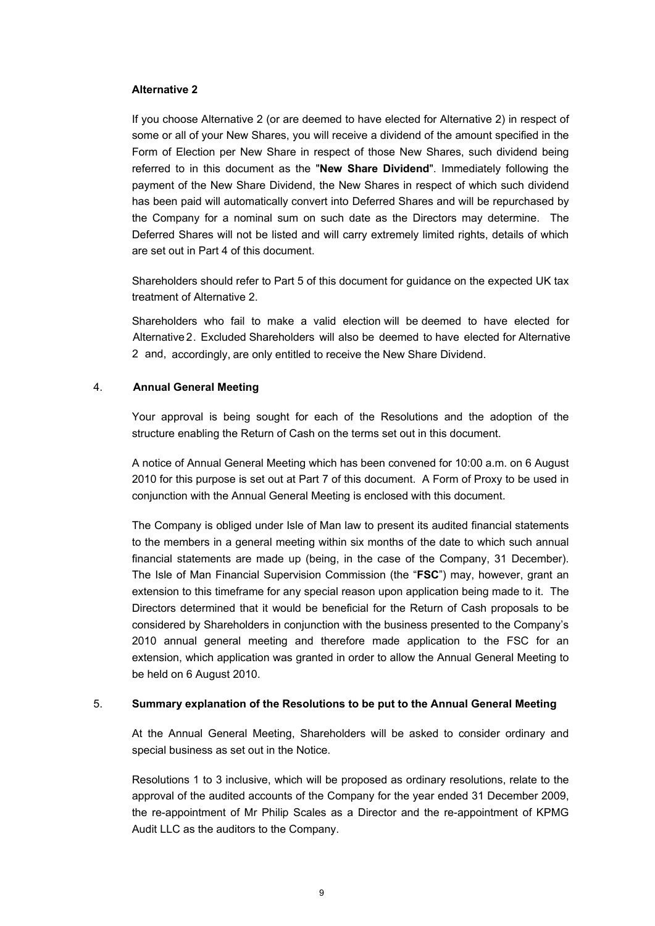#### **Alternative 2**

If you choose Alternative 2 (or are deemed to have elected for Alternative 2) in respect of some or all of your New Shares, you will receive a dividend of the amount specified in the Form of Election per New Share in respect of those New Shares, such dividend being referred to in this document as the "**New Share Dividend**". Immediately following the payment of the New Share Dividend, the New Shares in respect of which such dividend has been paid will automatically convert into Deferred Shares and will be repurchased by the Company for a nominal sum on such date as the Directors may determine. The Deferred Shares will not be listed and will carry extremely limited rights, details of which are set out in Part 4 of this document.

Shareholders should refer to Part 5 of this document for guidance on the expected UK tax treatment of Alternative 2.

2 and, accordingly, are only entitled to receive the New Share Dividend. Shareholders who fail to make a valid election will be deemed to have elected for Alternative 2. Excluded Shareholders will also be deemed to have elected for Alternative

#### 4. **Annual General Meeting**

Your approval is being sought for each of the Resolutions and the adoption of the structure enabling the Return of Cash on the terms set out in this document.

A notice of Annual General Meeting which has been convened for 10:00 a.m. on 6 August 2010 for this purpose is set out at Part 7 of this document. A Form of Proxy to be used in conjunction with the Annual General Meeting is enclosed with this document.

The Company is obliged under Isle of Man law to present its audited financial statements to the members in a general meeting within six months of the date to which such annual financial statements are made up (being, in the case of the Company, 31 December). The Isle of Man Financial Supervision Commission (the "**FSC**") may, however, grant an extension to this timeframe for any special reason upon application being made to it. The Directors determined that it would be beneficial for the Return of Cash proposals to be considered by Shareholders in conjunction with the business presented to the Company's 2010 annual general meeting and therefore made application to the FSC for an extension, which application was granted in order to allow the Annual General Meeting to be held on 6 August 2010.

#### 5. **Summary explanation of the Resolutions to be put to the Annual General Meeting**

At the Annual General Meeting, Shareholders will be asked to consider ordinary and special business as set out in the Notice.

Resolutions 1 to 3 inclusive, which will be proposed as ordinary resolutions, relate to the approval of the audited accounts of the Company for the year ended 31 December 2009, the re-appointment of Mr Philip Scales as a Director and the re-appointment of KPMG Audit LLC as the auditors to the Company.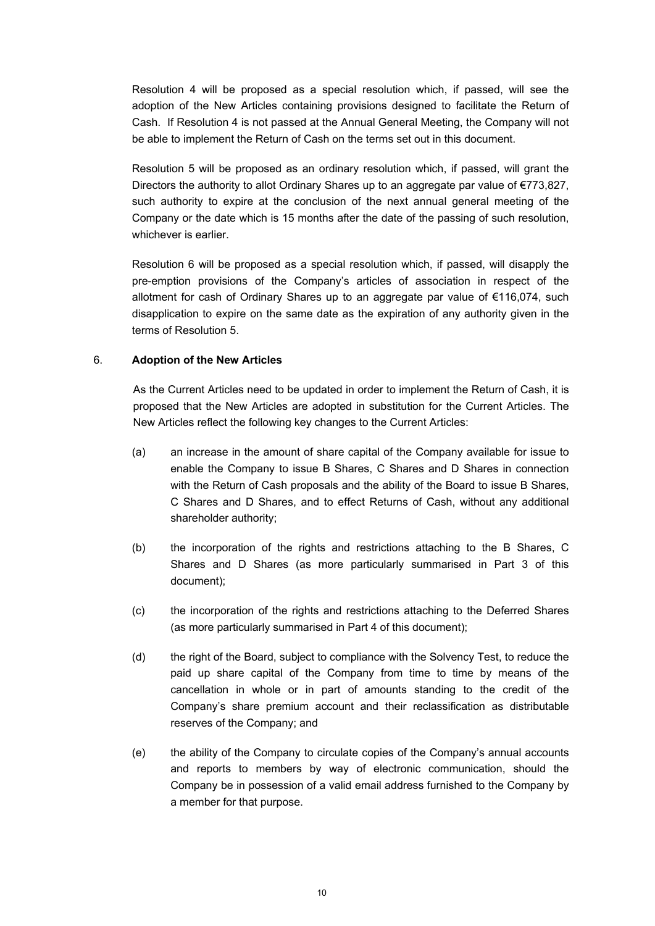Resolution 4 will be proposed as a special resolution which, if passed, will see the adoption of the New Articles containing provisions designed to facilitate the Return of Cash. If Resolution 4 is not passed at the Annual General Meeting, the Company will not be able to implement the Return of Cash on the terms set out in this document.

Resolution 5 will be proposed as an ordinary resolution which, if passed, will grant the Directors the authority to allot Ordinary Shares up to an aggregate par value of €773,827, such authority to expire at the conclusion of the next annual general meeting of the Company or the date which is 15 months after the date of the passing of such resolution, whichever is earlier.

Resolution 6 will be proposed as a special resolution which, if passed, will disapply the pre-emption provisions of the Company's articles of association in respect of the allotment for cash of Ordinary Shares up to an aggregate par value of €116,074, such disapplication to expire on the same date as the expiration of any authority given in the terms of Resolution 5.

#### 6. **Adoption of the New Articles**

As the Current Articles need to be updated in order to implement the Return of Cash, it is proposed that the New Articles are adopted in substitution for the Current Articles. The New Articles reflect the following key changes to the Current Articles:

- (a) an increase in the amount of share capital of the Company available for issue to enable the Company to issue B Shares, C Shares and D Shares in connection with the Return of Cash proposals and the ability of the Board to issue B Shares, C Shares and D Shares, and to effect Returns of Cash, without any additional shareholder authority;
- (b) the incorporation of the rights and restrictions attaching to the B Shares, C Shares and D Shares (as more particularly summarised in Part 3 of this document);
- (c) the incorporation of the rights and restrictions attaching to the Deferred Shares (as more particularly summarised in Part 4 of this document);
- (d) the right of the Board, subject to compliance with the Solvency Test, to reduce the paid up share capital of the Company from time to time by means of the cancellation in whole or in part of amounts standing to the credit of the Company's share premium account and their reclassification as distributable reserves of the Company; and
- (e) the ability of the Company to circulate copies of the Company's annual accounts and reports to members by way of electronic communication, should the Company be in possession of a valid email address furnished to the Company by a member for that purpose.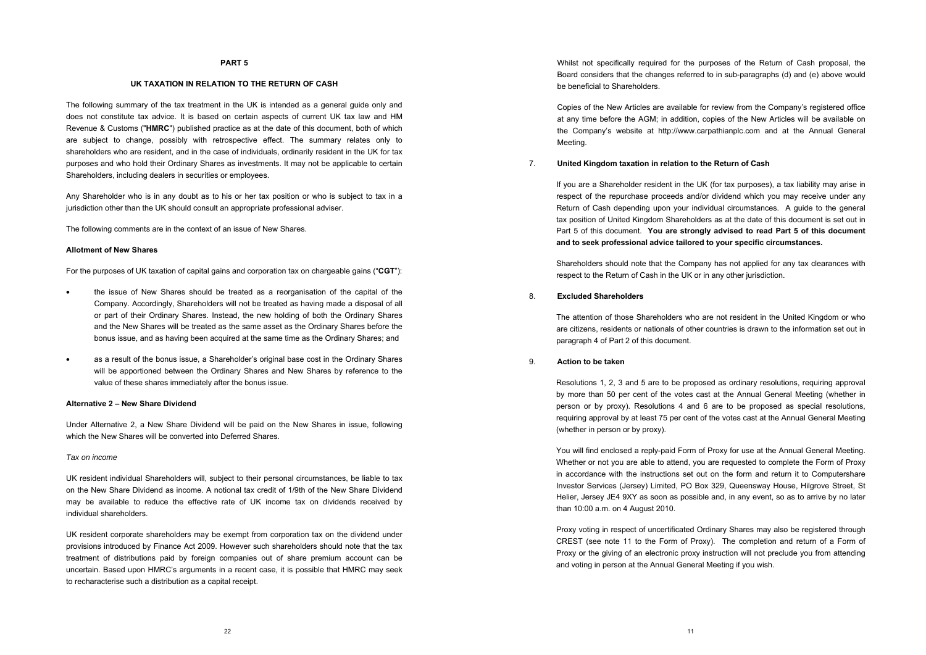Whilst not specifically required for the purposes of the Return of Cash proposal, the Board considers that the changes referred to in sub-paragraphs (d) and (e) above would be beneficial to Shareholders.

Copies of the New Articles are available for review from the Company's registered office at any time before the AGM; in addition, copies of the New Articles will be available on the Company's website at http://www.carpathianplc.com and at the Annual General Meeting.

#### 7. **United Kingdom taxation in relation to the Return of Cash**

If you are a Shareholder resident in the UK (for tax purposes), a tax liability may arise in respect of the repurchase proceeds and/or dividend which you may receive under any Return of Cash depending upon your individual circumstances. A guide to the general tax position of United Kingdom Shareholders as at the date of this document is set out in Part 5 of this document. **You are strongly advised to read Part 5 of this document and to seek professional advice tailored to your specific circumstances.** 

Shareholders should note that the Company has not applied for any tax clearances with respect to the Return of Cash in the UK or in any other jurisdiction.

#### 8. **Excluded Shareholders**

The attention of those Shareholders who are not resident in the United Kingdom or who are citizens, residents or nationals of other countries is drawn to the information set out in paragraph 4 of Part 2 of this document.

#### 9. **Action to be taken**

Resolutions 1, 2, 3 and 5 are to be proposed as ordinary resolutions, requiring approval by more than 50 per cent of the votes cast at the Annual General Meeting (whether in person or by proxy). Resolutions 4 and 6 are to be proposed as special resolutions, requiring approval by at least 75 per cent of the votes cast at the Annual General Meeting (whether in person or by proxy).

You will find enclosed a reply-paid Form of Proxy for use at the Annual General Meeting. Whether or not you are able to attend, you are requested to complete the Form of Proxy in accordance with the instructions set out on the form and return it to Computershare Investor Services (Jersey) Limited, PO Box 329, Queensway House, Hilgrove Street, St Helier, Jersey JE4 9XY as soon as possible and, in any event, so as to arrive by no later than 10:00 a.m. on 4 August 2010.

Proxy voting in respect of uncertificated Ordinary Shares may also be registered through CREST (see note 11 to the Form of Proxy). The completion and return of a Form of Proxy or the giving of an electronic proxy instruction will not preclude you from attending and voting in person at the Annual General Meeting if you wish.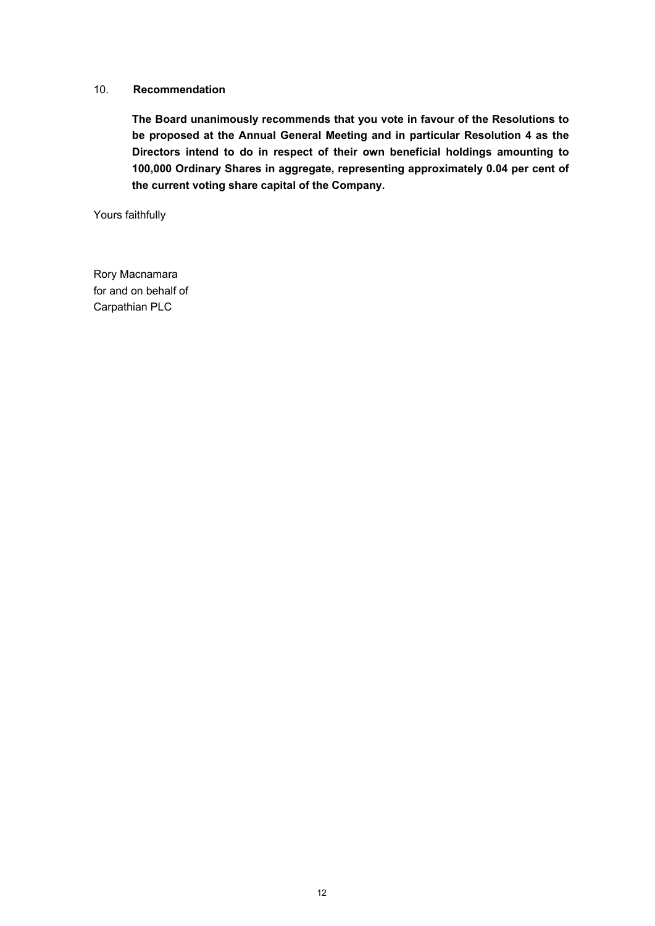#### 10. **Recommendation**

**The Board unanimously recommends that you vote in favour of the Resolutions to be proposed at the Annual General Meeting and in particular Resolution 4 as the Directors intend to do in respect of their own beneficial holdings amounting to 100,000 Ordinary Shares in aggregate, representing approximately 0.04 per cent of the current voting share capital of the Company.** 

Yours faithfully

Rory Macnamara for and on behalf of Carpathian PLC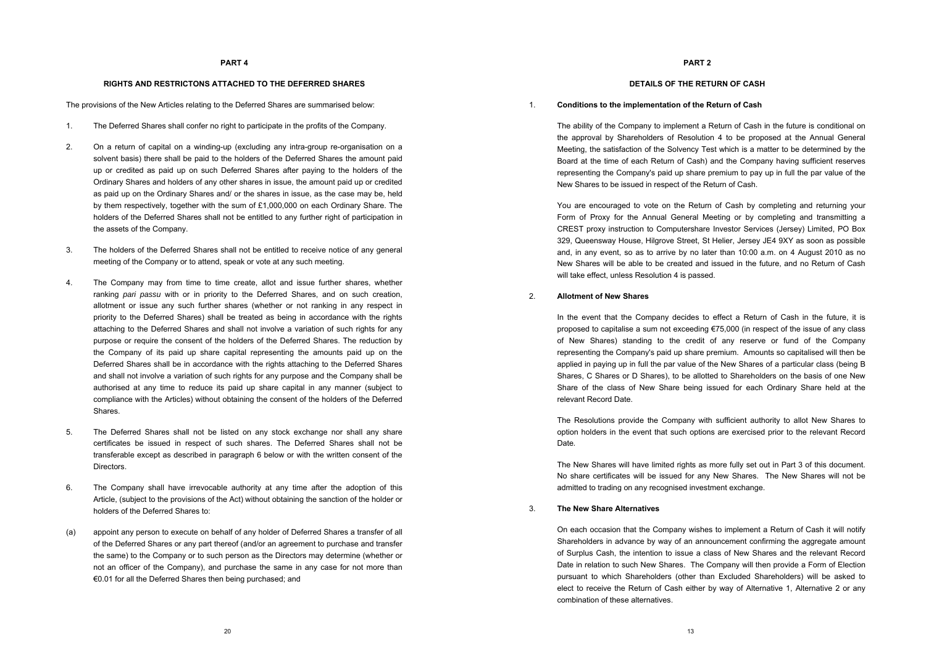#### **DETAILS OF THE RETURN OF CASH**

#### 1. **Conditions to the implementation of the Return of Cash**

The ability of the Company to implement a Return of Cash in the future is conditional on the approval by Shareholders of Resolution 4 to be proposed at the Annual General Meeting, the satisfaction of the Solvency Test which is a matter to be determined by the Board at the time of each Return of Cash) and the Company having sufficient reserves representing the Company's paid up share premium to pay up in full the par value of the New Shares to be issued in respect of the Return of Cash.

You are encouraged to vote on the Return of Cash by completing and returning your Form of Proxy for the Annual General Meeting or by completing and transmitting a CREST proxy instruction to Computershare Investor Services (Jersey) Limited, PO Box 329, Queensway House, Hilgrove Street, St Helier, Jersey JE4 9XY as soon as possible and, in any event, so as to arrive by no later than 10:00 a.m. on 4 August 2010 as no New Shares will be able to be created and issued in the future, and no Return of Cash will take effect, unless Resolution 4 is passed.

#### 2. **Allotment of New Shares**

In the event that the Company decides to effect a Return of Cash in the future, it is proposed to capitalise a sum not exceeding  $€75,000$  (in respect of the issue of any class of New Shares) standing to the credit of any reserve or fund of the Company representing the Company's paid up share premium. Amounts so capitalised will then be applied in paying up in full the par value of the New Shares of a particular class (being B Shares, C Shares or D Shares), to be allotted to Shareholders on the basis of one New Share of the class of New Share being issued for each Ordinary Share held at the relevant Record Date.

The Resolutions provide the Company with sufficient authority to allot New Shares to option holders in the event that such options are exercised prior to the relevant Record Date*.*

The New Shares will have limited rights as more fully set out in Part 3 of this document. No share certificates will be issued for any New Shares. The New Shares will not be admitted to trading on any recognised investment exchange.

#### 3. **The New Share Alternatives**

On each occasion that the Company wishes to implement a Return of Cash it will notify Shareholders in advance by way of an announcement confirming the aggregate amount of Surplus Cash, the intention to issue a class of New Shares and the relevant Record Date in relation to such New Shares. The Company will then provide a Form of Election pursuant to which Shareholders (other than Excluded Shareholders) will be asked to elect to receive the Return of Cash either by way of Alternative 1, Alternative 2 or any combination of these alternatives.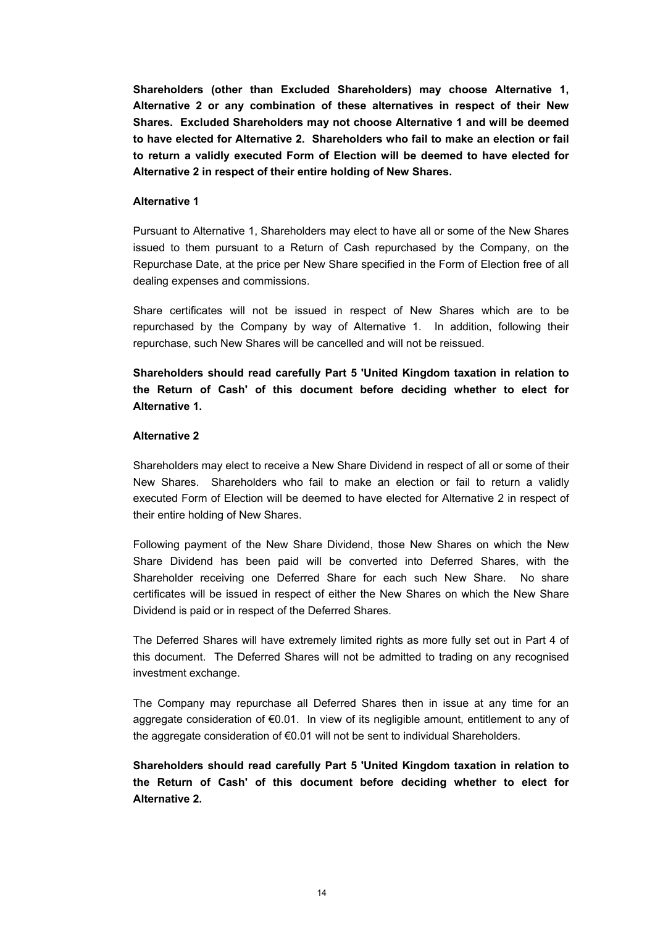**Shareholders (other than Excluded Shareholders) may choose Alternative 1, Alternative 2 or any combination of these alternatives in respect of their New Shares. Excluded Shareholders may not choose Alternative 1 and will be deemed to have elected for Alternative 2. Shareholders who fail to make an election or fail to return a validly executed Form of Election will be deemed to have elected for Alternative 2 in respect of their entire holding of New Shares.** 

#### **Alternative 1**

Pursuant to Alternative 1, Shareholders may elect to have all or some of the New Shares issued to them pursuant to a Return of Cash repurchased by the Company, on the Repurchase Date, at the price per New Share specified in the Form of Election free of all dealing expenses and commissions.

Share certificates will not be issued in respect of New Shares which are to be repurchased by the Company by way of Alternative 1. In addition, following their repurchase, such New Shares will be cancelled and will not be reissued.

**Shareholders should read carefully Part 5 'United Kingdom taxation in relation to the Return of Cash' of this document before deciding whether to elect for Alternative 1.** 

#### **Alternative 2**

Shareholders may elect to receive a New Share Dividend in respect of all or some of their New Shares. Shareholders who fail to make an election or fail to return a validly executed Form of Election will be deemed to have elected for Alternative 2 in respect of their entire holding of New Shares.

Following payment of the New Share Dividend, those New Shares on which the New Share Dividend has been paid will be converted into Deferred Shares, with the Shareholder receiving one Deferred Share for each such New Share. No share certificates will be issued in respect of either the New Shares on which the New Share Dividend is paid or in respect of the Deferred Shares.

The Deferred Shares will have extremely limited rights as more fully set out in Part 4 of this document. The Deferred Shares will not be admitted to trading on any recognised investment exchange.

The Company may repurchase all Deferred Shares then in issue at any time for an aggregate consideration of €0.01. In view of its negligible amount, entitlement to any of the aggregate consideration of €0.01 will not be sent to individual Shareholders.

**Shareholders should read carefully Part 5 'United Kingdom taxation in relation to the Return of Cash' of this document before deciding whether to elect for Alternative 2.**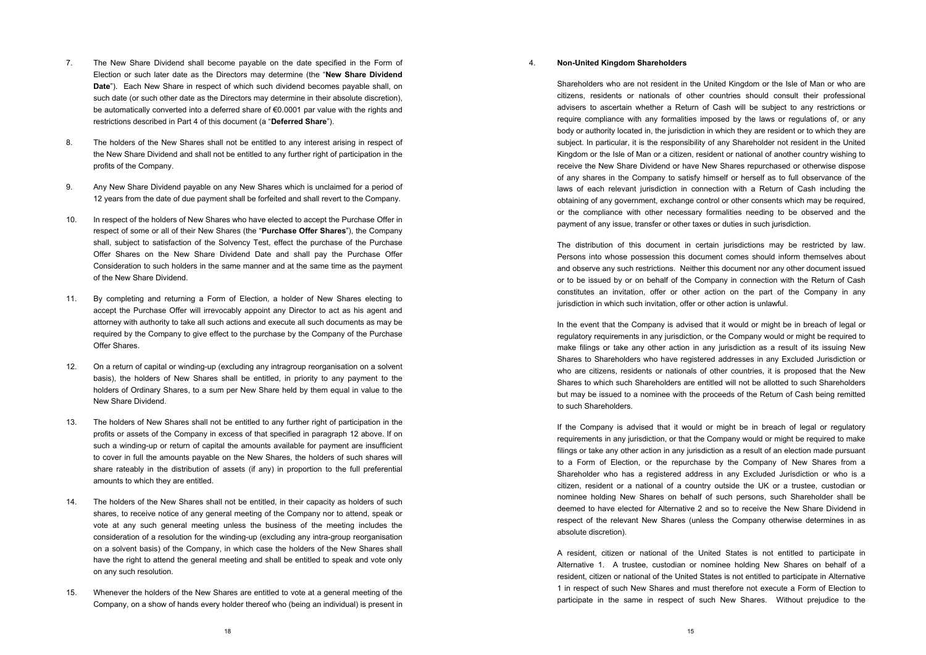#### 4. **Non-United Kingdom Shareholders**

Shareholders who are not resident in the United Kingdom or the Isle of Man or who are citizens, residents or nationals of other countries should consult their professional advisers to ascertain whether a Return of Cash will be subject to any restrictions or require compliance with any formalities imposed by the laws or regulations of, or any body or authority located in, the jurisdiction in which they are resident or to which they are subject. In particular, it is the responsibility of any Shareholder not resident in the United Kingdom or the Isle of Man or a citizen, resident or national of another country wishing to receive the New Share Dividend or have New Shares repurchased or otherwise dispose of any shares in the Company to satisfy himself or herself as to full observance of the laws of each relevant jurisdiction in connection with a Return of Cash including the obtaining of any government, exchange control or other consents which may be required, or the compliance with other necessary formalities needing to be observed and the payment of any issue, transfer or other taxes or duties in such jurisdiction.

The distribution of this document in certain jurisdictions may be restricted by law. Persons into whose possession this document comes should inform themselves about and observe any such restrictions. Neither this document nor any other document issued or to be issued by or on behalf of the Company in connection with the Return of Cash constitutes an invitation, offer or other action on the part of the Company in any jurisdiction in which such invitation, offer or other action is unlawful.

In the event that the Company is advised that it would or might be in breach of legal or regulatory requirements in any jurisdiction, or the Company would or might be required to make filings or take any other action in any jurisdiction as a result of its issuing New Shares to Shareholders who have registered addresses in any Excluded Jurisdiction or who are citizens, residents or nationals of other countries, it is proposed that the New Shares to which such Shareholders are entitled will not be allotted to such Shareholders but may be issued to a nominee with the proceeds of the Return of Cash being remitted to such Shareholders.

If the Company is advised that it would or might be in breach of legal or regulatory requirements in any jurisdiction, or that the Company would or might be required to make filings or take any other action in any jurisdiction as a result of an election made pursuant to a Form of Election, or the repurchase by the Company of New Shares from a Shareholder who has a registered address in any Excluded Jurisdiction or who is a citizen, resident or a national of a country outside the UK or a trustee, custodian or nominee holding New Shares on behalf of such persons, such Shareholder shall be deemed to have elected for Alternative 2 and so to receive the New Share Dividend in respect of the relevant New Shares (unless the Company otherwise determines in as absolute discretion).

A resident, citizen or national of the United States is not entitled to participate in Alternative 1. A trustee, custodian or nominee holding New Shares on behalf of a resident, citizen or national of the United States is not entitled to participate in Alternative 1 in respect of such New Shares and must therefore not execute a Form of Election to participate in the same in respect of such New Shares. Without prejudice to the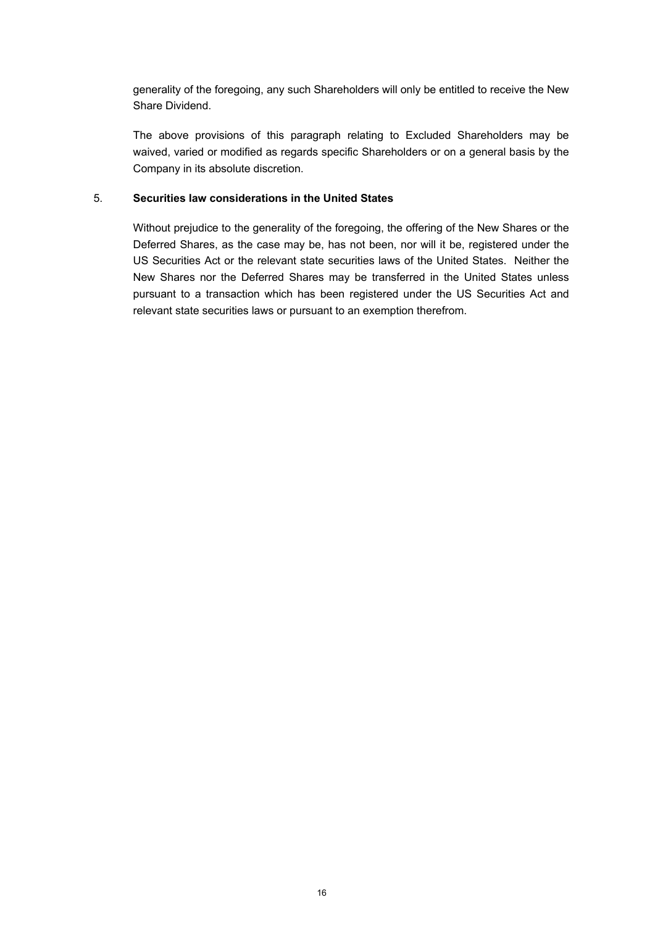generality of the foregoing, any such Shareholders will only be entitled to receive the New Share Dividend.

The above provisions of this paragraph relating to Excluded Shareholders may be waived, varied or modified as regards specific Shareholders or on a general basis by the Company in its absolute discretion.

#### 5. **Securities law considerations in the United States**

Without prejudice to the generality of the foregoing, the offering of the New Shares or the Deferred Shares, as the case may be, has not been, nor will it be, registered under the US Securities Act or the relevant state securities laws of the United States. Neither the New Shares nor the Deferred Shares may be transferred in the United States unless pursuant to a transaction which has been registered under the US Securities Act and relevant state securities laws or pursuant to an exemption therefrom.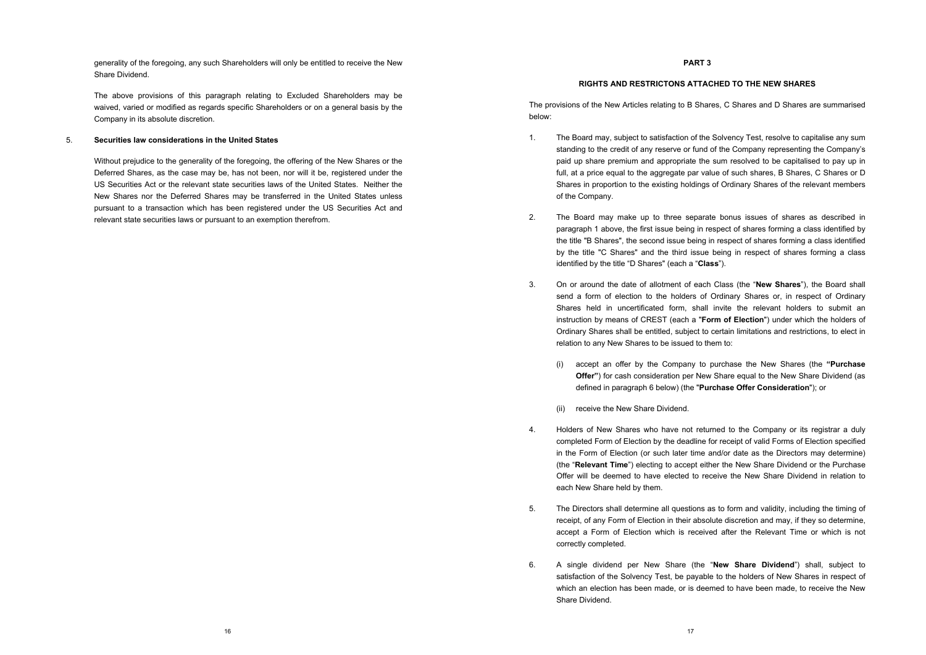#### **RIGHTS AND RESTRICTONS ATTACHED TO THE NEW SHARES**

The provisions of the New Articles relating to B Shares, C Shares and D Shares are summarised below:

- 1. The Board may, subject to satisfaction of the Solvency Test, resolve to capitalise any sum standing to the credit of any reserve or fund of the Company representing the Company's paid up share premium and appropriate the sum resolved to be capitalised to pay up in full, at a price equal to the aggregate par value of such shares, B Shares, C Shares or D Shares in proportion to the existing holdings of Ordinary Shares of the relevant members of the Company.
- 2. The Board may make up to three separate bonus issues of shares as described in paragraph 1 above, the first issue being in respect of shares forming a class identified by the title "B Shares", the second issue being in respect of shares forming a class identified by the title "C Shares" and the third issue being in respect of shares forming a class identified by the title "D Shares" (each a "**Class**").
- 3. On or around the date of allotment of each Class (the "**New Shares**"), the Board shall send a form of election to the holders of Ordinary Shares or, in respect of Ordinary Shares held in uncertificated form, shall invite the relevant holders to submit an instruction by means of CREST (each a "**Form of Election**") under which the holders of Ordinary Shares shall be entitled, subject to certain limitations and restrictions, to elect in relation to any New Shares to be issued to them to:
	- (i) accept an offer by the Company to purchase the New Shares (the **"Purchase Offer"**) for cash consideration per New Share equal to the New Share Dividend (as defined in paragraph 6 below) (the "**Purchase Offer Consideration**"); or
	- (ii) receive the New Share Dividend.
- 4. Holders of New Shares who have not returned to the Company or its registrar a duly completed Form of Election by the deadline for receipt of valid Forms of Election specified in the Form of Election (or such later time and/or date as the Directors may determine) (the "**Relevant Time**") electing to accept either the New Share Dividend or the Purchase Offer will be deemed to have elected to receive the New Share Dividend in relation to each New Share held by them.
- 5. The Directors shall determine all questions as to form and validity, including the timing of receipt, of any Form of Election in their absolute discretion and may, if they so determine, accept a Form of Election which is received after the Relevant Time or which is not correctly completed.
- 6. A single dividend per New Share (the "**New Share Dividend**") shall, subject to satisfaction of the Solvency Test, be payable to the holders of New Shares in respect of which an election has been made, or is deemed to have been made, to receive the New Share Dividend.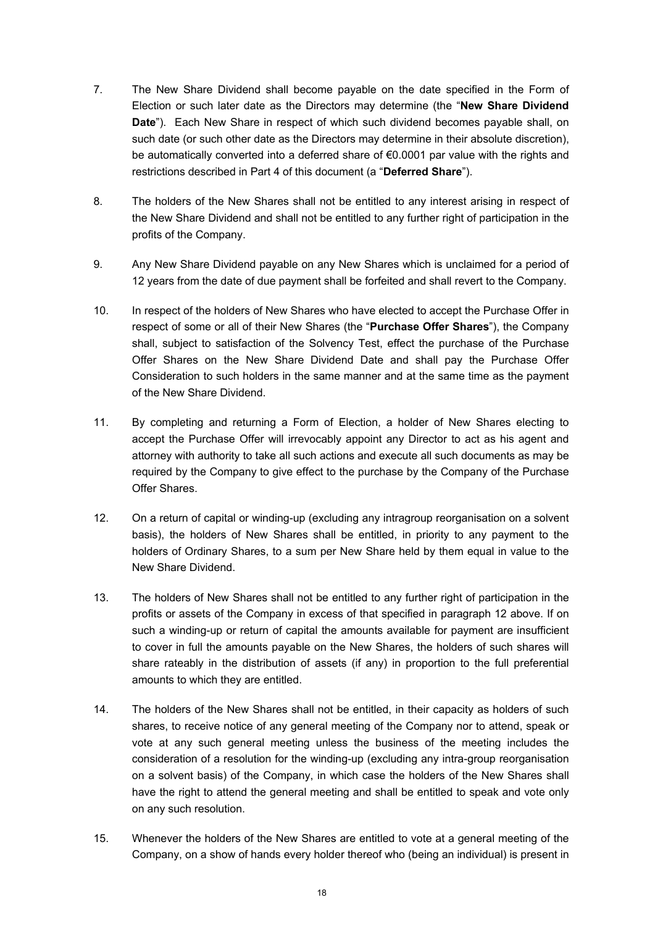- 7. The New Share Dividend shall become payable on the date specified in the Form of Election or such later date as the Directors may determine (the "**New Share Dividend Date**"). Each New Share in respect of which such dividend becomes payable shall, on such date (or such other date as the Directors may determine in their absolute discretion), be automatically converted into a deferred share of €0.0001 par value with the rights and restrictions described in Part 4 of this document (a "**Deferred Share**").
- 8. The holders of the New Shares shall not be entitled to any interest arising in respect of the New Share Dividend and shall not be entitled to any further right of participation in the profits of the Company.
- 9. Any New Share Dividend payable on any New Shares which is unclaimed for a period of 12 years from the date of due payment shall be forfeited and shall revert to the Company.
- 10. In respect of the holders of New Shares who have elected to accept the Purchase Offer in respect of some or all of their New Shares (the "**Purchase Offer Shares**"), the Company shall, subject to satisfaction of the Solvency Test, effect the purchase of the Purchase Offer Shares on the New Share Dividend Date and shall pay the Purchase Offer Consideration to such holders in the same manner and at the same time as the payment of the New Share Dividend.
- 11. By completing and returning a Form of Election, a holder of New Shares electing to accept the Purchase Offer will irrevocably appoint any Director to act as his agent and attorney with authority to take all such actions and execute all such documents as may be required by the Company to give effect to the purchase by the Company of the Purchase Offer Shares.
- 12. On a return of capital or winding-up (excluding any intragroup reorganisation on a solvent basis), the holders of New Shares shall be entitled, in priority to any payment to the holders of Ordinary Shares, to a sum per New Share held by them equal in value to the New Share Dividend.
- 13. The holders of New Shares shall not be entitled to any further right of participation in the profits or assets of the Company in excess of that specified in paragraph 12 above. If on such a winding-up or return of capital the amounts available for payment are insufficient to cover in full the amounts payable on the New Shares, the holders of such shares will share rateably in the distribution of assets (if any) in proportion to the full preferential amounts to which they are entitled.
- 14. The holders of the New Shares shall not be entitled, in their capacity as holders of such shares, to receive notice of any general meeting of the Company nor to attend, speak or vote at any such general meeting unless the business of the meeting includes the consideration of a resolution for the winding-up (excluding any intra-group reorganisation on a solvent basis) of the Company, in which case the holders of the New Shares shall have the right to attend the general meeting and shall be entitled to speak and vote only on any such resolution.
- 15. Whenever the holders of the New Shares are entitled to vote at a general meeting of the Company, on a show of hands every holder thereof who (being an individual) is present in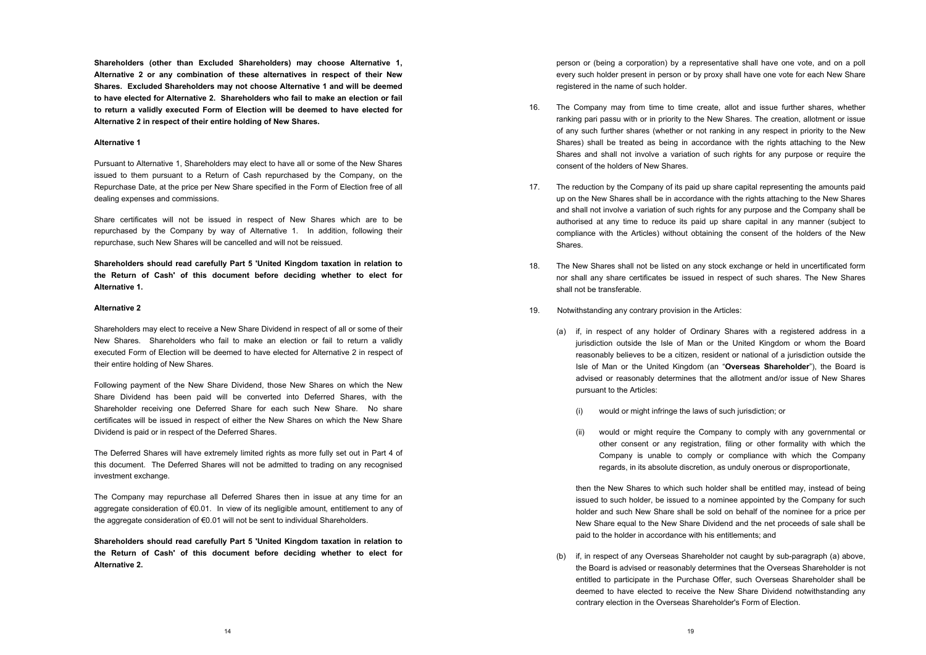person or (being a corporation) by a representative shall have one vote, and on a poll every such holder present in person or by proxy shall have one vote for each New Share registered in the name of such holder.

- 16. The Company may from time to time create, allot and issue further shares, whether ranking pari passu with or in priority to the New Shares. The creation, allotment or issue of any such further shares (whether or not ranking in any respect in priority to the New Shares) shall be treated as being in accordance with the rights attaching to the New Shares and shall not involve a variation of such rights for any purpose or require the consent of the holders of New Shares.
- 17. The reduction by the Company of its paid up share capital representing the amounts paid up on the New Shares shall be in accordance with the rights attaching to the New Shares and shall not involve a variation of such rights for any purpose and the Company shall be authorised at any time to reduce its paid up share capital in any manner (subject to compliance with the Articles) without obtaining the consent of the holders of the New **Shares**
- 18. The New Shares shall not be listed on any stock exchange or held in uncertificated form nor shall any share certificates be issued in respect of such shares. The New Shares shall not be transferable.
- 19. Notwithstanding any contrary provision in the Articles:
	- (a) if, in respect of any holder of Ordinary Shares with a registered address in a jurisdiction outside the Isle of Man or the United Kingdom or whom the Board reasonably believes to be a citizen, resident or national of a jurisdiction outside the Isle of Man or the United Kingdom (an "**Overseas Shareholder**"), the Board is advised or reasonably determines that the allotment and/or issue of New Shares pursuant to the Articles:
		- (i) would or might infringe the laws of such jurisdiction; or
		- (ii) would or might require the Company to comply with any governmental or other consent or any registration, filing or other formality with which the Company is unable to comply or compliance with which the Company regards, in its absolute discretion, as unduly onerous or disproportionate,

then the New Shares to which such holder shall be entitled may, instead of being issued to such holder, be issued to a nominee appointed by the Company for such holder and such New Share shall be sold on behalf of the nominee for a price per New Share equal to the New Share Dividend and the net proceeds of sale shall be paid to the holder in accordance with his entitlements; and

(b) if, in respect of any Overseas Shareholder not caught by sub-paragraph (a) above, the Board is advised or reasonably determines that the Overseas Shareholder is not entitled to participate in the Purchase Offer, such Overseas Shareholder shall be deemed to have elected to receive the New Share Dividend notwithstanding any contrary election in the Overseas Shareholder's Form of Election.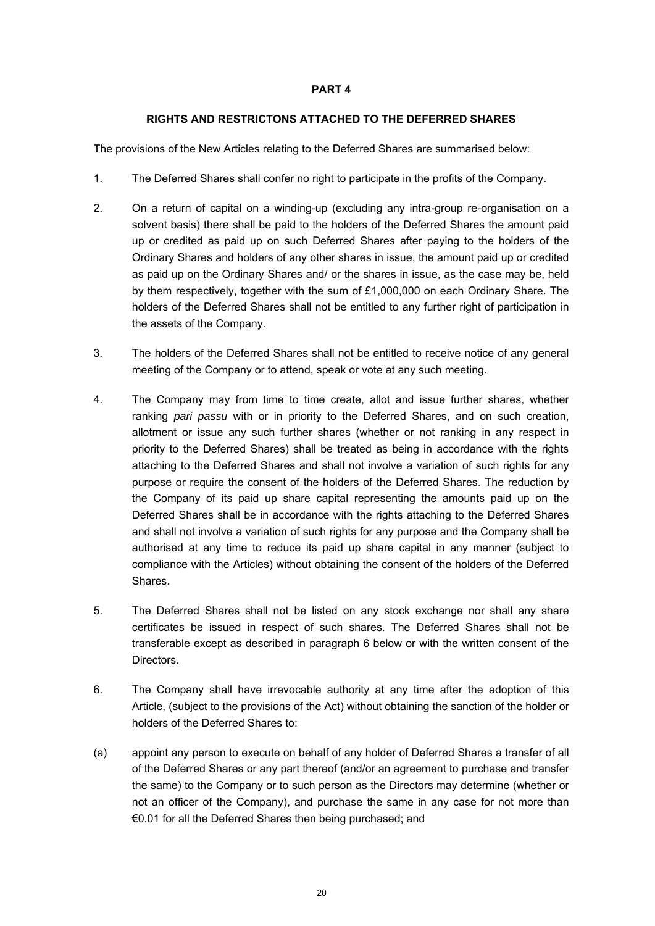#### **RIGHTS AND RESTRICTONS ATTACHED TO THE DEFERRED SHARES**

The provisions of the New Articles relating to the Deferred Shares are summarised below:

- 1. The Deferred Shares shall confer no right to participate in the profits of the Company.
- 2. On a return of capital on a winding-up (excluding any intra-group re-organisation on a solvent basis) there shall be paid to the holders of the Deferred Shares the amount paid up or credited as paid up on such Deferred Shares after paying to the holders of the Ordinary Shares and holders of any other shares in issue, the amount paid up or credited as paid up on the Ordinary Shares and/ or the shares in issue, as the case may be, held by them respectively, together with the sum of £1,000,000 on each Ordinary Share. The holders of the Deferred Shares shall not be entitled to any further right of participation in the assets of the Company.
- 3. The holders of the Deferred Shares shall not be entitled to receive notice of any general meeting of the Company or to attend, speak or vote at any such meeting.
- 4. The Company may from time to time create, allot and issue further shares, whether ranking *pari passu* with or in priority to the Deferred Shares, and on such creation, allotment or issue any such further shares (whether or not ranking in any respect in priority to the Deferred Shares) shall be treated as being in accordance with the rights attaching to the Deferred Shares and shall not involve a variation of such rights for any purpose or require the consent of the holders of the Deferred Shares. The reduction by the Company of its paid up share capital representing the amounts paid up on the Deferred Shares shall be in accordance with the rights attaching to the Deferred Shares and shall not involve a variation of such rights for any purpose and the Company shall be authorised at any time to reduce its paid up share capital in any manner (subject to compliance with the Articles) without obtaining the consent of the holders of the Deferred Shares.
- 5. The Deferred Shares shall not be listed on any stock exchange nor shall any share certificates be issued in respect of such shares. The Deferred Shares shall not be transferable except as described in paragraph 6 below or with the written consent of the Directors.
- 6. The Company shall have irrevocable authority at any time after the adoption of this Article, (subject to the provisions of the Act) without obtaining the sanction of the holder or holders of the Deferred Shares to:
- (a) appoint any person to execute on behalf of any holder of Deferred Shares a transfer of all of the Deferred Shares or any part thereof (and/or an agreement to purchase and transfer the same) to the Company or to such person as the Directors may determine (whether or not an officer of the Company), and purchase the same in any case for not more than €0.01 for all the Deferred Shares then being purchased; and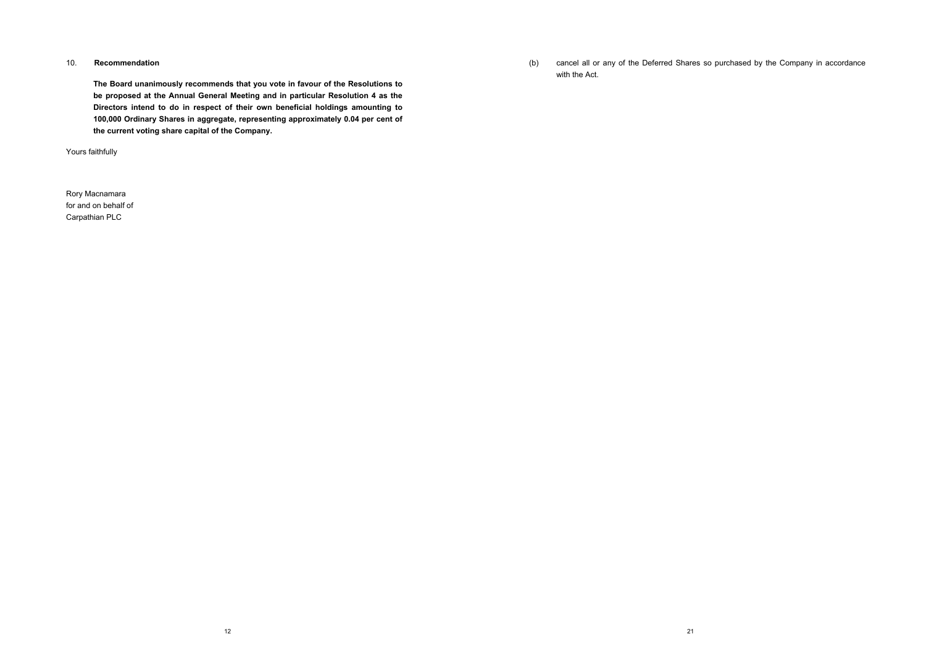(b) cancel all or any of the Deferred Shares so purchased by the Company in accordance with the Act.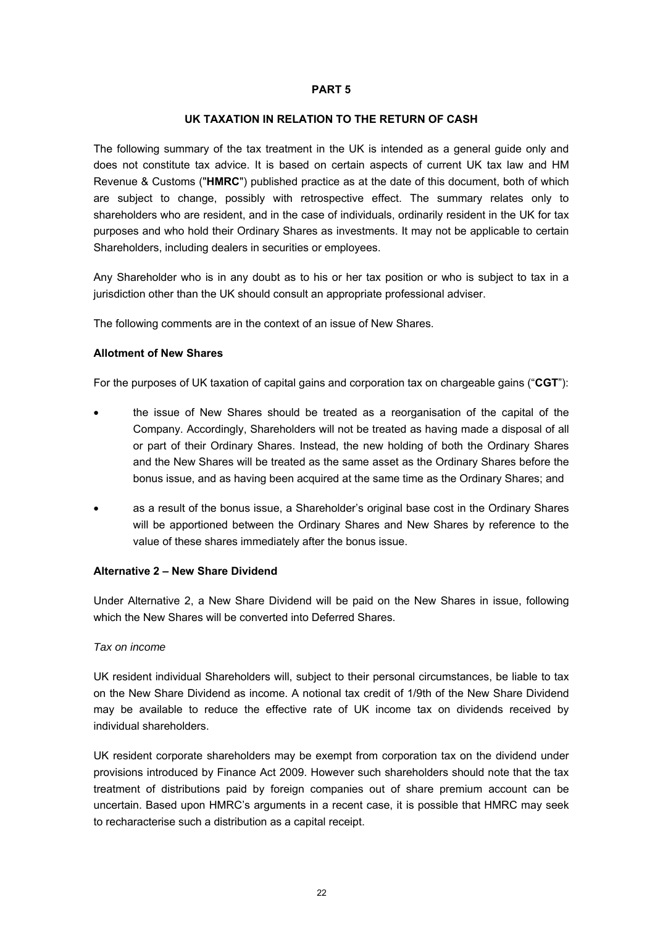#### **UK TAXATION IN RELATION TO THE RETURN OF CASH**

The following summary of the tax treatment in the UK is intended as a general guide only and does not constitute tax advice. It is based on certain aspects of current UK tax law and HM Revenue & Customs ("**HMRC**") published practice as at the date of this document, both of which are subject to change, possibly with retrospective effect. The summary relates only to shareholders who are resident, and in the case of individuals, ordinarily resident in the UK for tax purposes and who hold their Ordinary Shares as investments. It may not be applicable to certain Shareholders, including dealers in securities or employees.

Any Shareholder who is in any doubt as to his or her tax position or who is subject to tax in a jurisdiction other than the UK should consult an appropriate professional adviser.

The following comments are in the context of an issue of New Shares.

#### **Allotment of New Shares**

For the purposes of UK taxation of capital gains and corporation tax on chargeable gains ("**CGT**"):

- the issue of New Shares should be treated as a reorganisation of the capital of the Company. Accordingly, Shareholders will not be treated as having made a disposal of all or part of their Ordinary Shares. Instead, the new holding of both the Ordinary Shares and the New Shares will be treated as the same asset as the Ordinary Shares before the bonus issue, and as having been acquired at the same time as the Ordinary Shares; and
- as a result of the bonus issue, a Shareholder's original base cost in the Ordinary Shares will be apportioned between the Ordinary Shares and New Shares by reference to the value of these shares immediately after the bonus issue.

#### **Alternative 2 – New Share Dividend**

Under Alternative 2, a New Share Dividend will be paid on the New Shares in issue, following which the New Shares will be converted into Deferred Shares.

#### *Tax on income*

UK resident individual Shareholders will, subject to their personal circumstances, be liable to tax on the New Share Dividend as income. A notional tax credit of 1/9th of the New Share Dividend may be available to reduce the effective rate of UK income tax on dividends received by individual shareholders.

UK resident corporate shareholders may be exempt from corporation tax on the dividend under provisions introduced by Finance Act 2009. However such shareholders should note that the tax treatment of distributions paid by foreign companies out of share premium account can be uncertain. Based upon HMRC's arguments in a recent case, it is possible that HMRC may seek to recharacterise such a distribution as a capital receipt.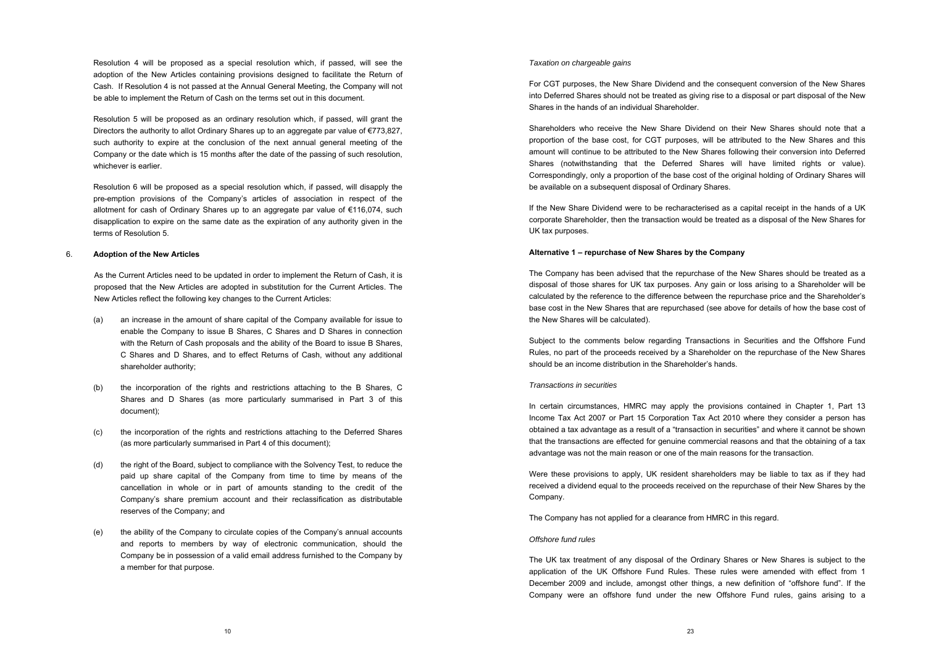#### *Taxation on chargeable gains*

For CGT purposes, the New Share Dividend and the consequent conversion of the New Shares into Deferred Shares should not be treated as giving rise to a disposal or part disposal of the New Shares in the hands of an individual Shareholder.

Shareholders who receive the New Share Dividend on their New Shares should note that a proportion of the base cost, for CGT purposes, will be attributed to the New Shares and this amount will continue to be attributed to the New Shares following their conversion into Deferred Shares (notwithstanding that the Deferred Shares will have limited rights or value). Correspondingly, only a proportion of the base cost of the original holding of Ordinary Shares will be available on a subsequent disposal of Ordinary Shares.

If the New Share Dividend were to be recharacterised as a capital receipt in the hands of a UK corporate Shareholder, then the transaction would be treated as a disposal of the New Shares for UK tax purposes.

#### **Alternative 1 – repurchase of New Shares by the Company**

The Company has been advised that the repurchase of the New Shares should be treated as a disposal of those shares for UK tax purposes. Any gain or loss arising to a Shareholder will be calculated by the reference to the difference between the repurchase price and the Shareholder's base cost in the New Shares that are repurchased (see above for details of how the base cost of the New Shares will be calculated).

Subject to the comments below regarding Transactions in Securities and the Offshore Fund Rules, no part of the proceeds received by a Shareholder on the repurchase of the New Shares should be an income distribution in the Shareholder's hands.

#### *Transactions in securities*

In certain circumstances, HMRC may apply the provisions contained in Chapter 1, Part 13 Income Tax Act 2007 or Part 15 Corporation Tax Act 2010 where they consider a person has obtained a tax advantage as a result of a "transaction in securities" and where it cannot be shown that the transactions are effected for genuine commercial reasons and that the obtaining of a tax advantage was not the main reason or one of the main reasons for the transaction.

Were these provisions to apply. UK resident shareholders may be liable to tax as if they had received a dividend equal to the proceeds received on the repurchase of their New Shares by the Company.

The Company has not applied for a clearance from HMRC in this regard.

#### *Offshore fund rules*

The UK tax treatment of any disposal of the Ordinary Shares or New Shares is subject to the application of the UK Offshore Fund Rules. These rules were amended with effect from 1 December 2009 and include, amongst other things, a new definition of "offshore fund". If the Company were an offshore fund under the new Offshore Fund rules, gains arising to a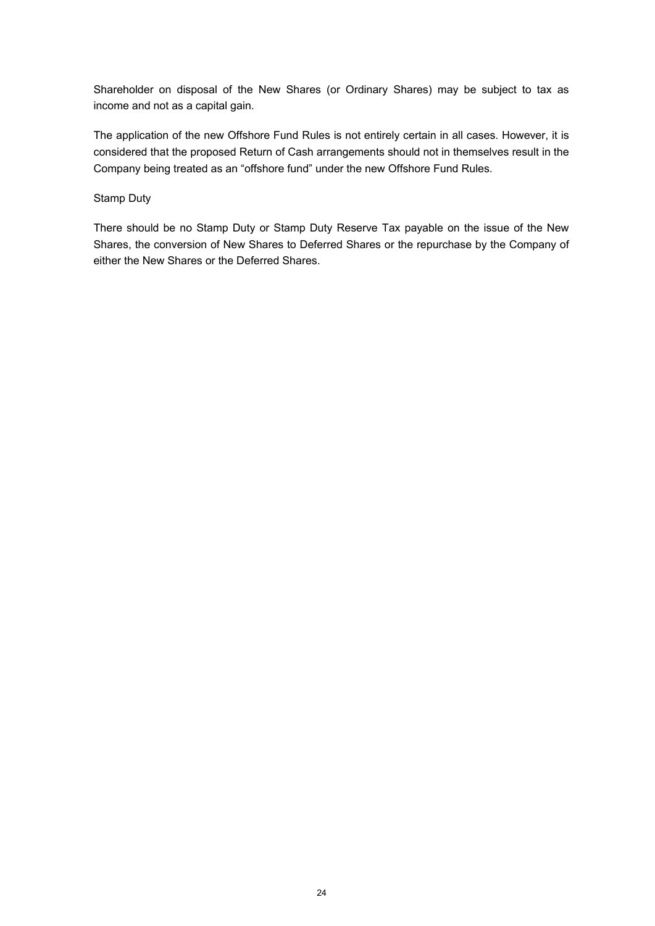Shareholder on disposal of the New Shares (or Ordinary Shares) may be subject to tax as income and not as a capital gain.

The application of the new Offshore Fund Rules is not entirely certain in all cases. However, it is considered that the proposed Return of Cash arrangements should not in themselves result in the Company being treated as an "offshore fund" under the new Offshore Fund Rules.

Stamp Duty

There should be no Stamp Duty or Stamp Duty Reserve Tax payable on the issue of the New Shares, the conversion of New Shares to Deferred Shares or the repurchase by the Company of either the New Shares or the Deferred Shares.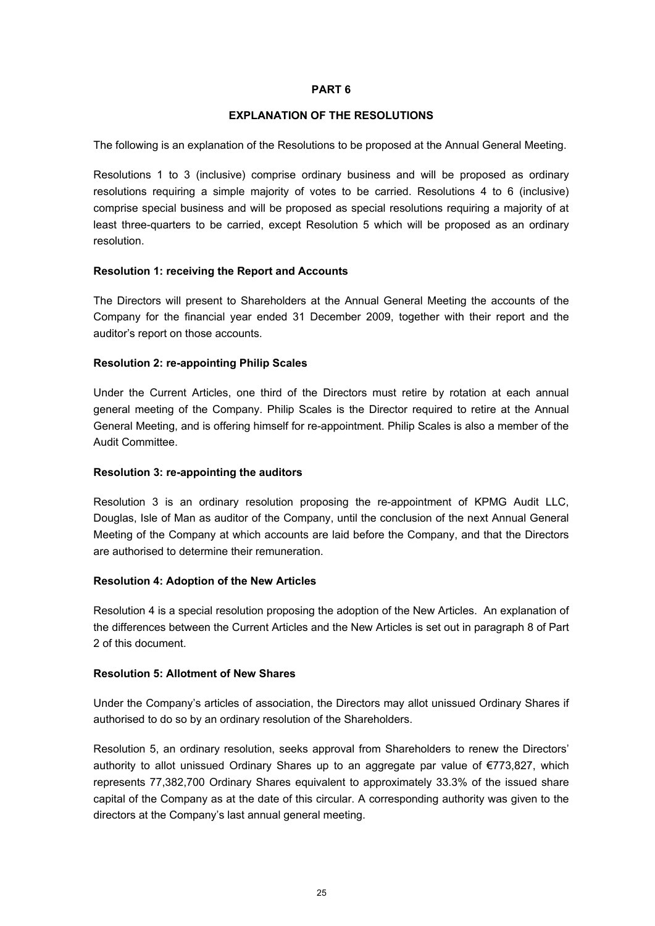#### **EXPLANATION OF THE RESOLUTIONS**

The following is an explanation of the Resolutions to be proposed at the Annual General Meeting.

Resolutions 1 to 3 (inclusive) comprise ordinary business and will be proposed as ordinary resolutions requiring a simple majority of votes to be carried. Resolutions 4 to 6 (inclusive) comprise special business and will be proposed as special resolutions requiring a majority of at least three-quarters to be carried, except Resolution 5 which will be proposed as an ordinary resolution.

#### **Resolution 1: receiving the Report and Accounts**

The Directors will present to Shareholders at the Annual General Meeting the accounts of the Company for the financial year ended 31 December 2009, together with their report and the auditor's report on those accounts.

#### **Resolution 2: re-appointing Philip Scales**

Under the Current Articles, one third of the Directors must retire by rotation at each annual general meeting of the Company. Philip Scales is the Director required to retire at the Annual General Meeting, and is offering himself for re-appointment. Philip Scales is also a member of the Audit Committee.

#### **Resolution 3: re-appointing the auditors**

Resolution 3 is an ordinary resolution proposing the re-appointment of KPMG Audit LLC, Douglas, Isle of Man as auditor of the Company, until the conclusion of the next Annual General Meeting of the Company at which accounts are laid before the Company, and that the Directors are authorised to determine their remuneration.

#### **Resolution 4: Adoption of the New Articles**

Resolution 4 is a special resolution proposing the adoption of the New Articles. An explanation of the differences between the Current Articles and the New Articles is set out in paragraph 8 of Part 2 of this document.

#### **Resolution 5: Allotment of New Shares**

Under the Company's articles of association, the Directors may allot unissued Ordinary Shares if authorised to do so by an ordinary resolution of the Shareholders.

Resolution 5, an ordinary resolution, seeks approval from Shareholders to renew the Directors' authority to allot unissued Ordinary Shares up to an aggregate par value of €773,827, which represents 77,382,700 Ordinary Shares equivalent to approximately 33.3% of the issued share capital of the Company as at the date of this circular. A corresponding authority was given to the directors at the Company's last annual general meeting.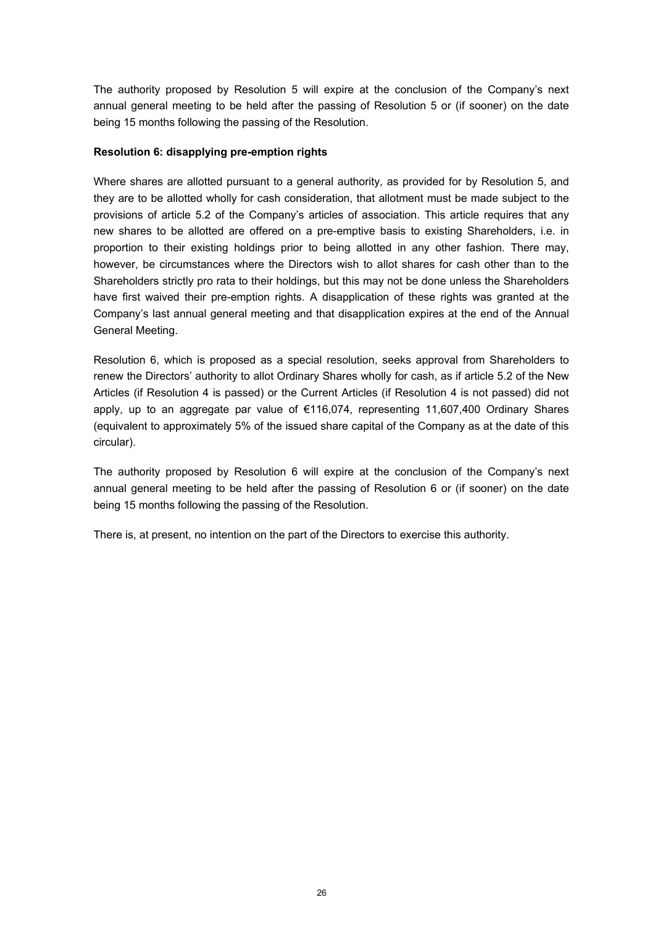The authority proposed by Resolution 5 will expire at the conclusion of the Company's next annual general meeting to be held after the passing of Resolution 5 or (if sooner) on the date being 15 months following the passing of the Resolution.

#### **Resolution 6: disapplying pre-emption rights**

Where shares are allotted pursuant to a general authority, as provided for by Resolution 5, and they are to be allotted wholly for cash consideration, that allotment must be made subject to the provisions of article 5.2 of the Company's articles of association. This article requires that any new shares to be allotted are offered on a pre-emptive basis to existing Shareholders, i.e. in proportion to their existing holdings prior to being allotted in any other fashion. There may, however, be circumstances where the Directors wish to allot shares for cash other than to the Shareholders strictly pro rata to their holdings, but this may not be done unless the Shareholders have first waived their pre-emption rights. A disapplication of these rights was granted at the Company's last annual general meeting and that disapplication expires at the end of the Annual General Meeting.

Resolution 6, which is proposed as a special resolution, seeks approval from Shareholders to renew the Directors' authority to allot Ordinary Shares wholly for cash, as if article 5.2 of the New Articles (if Resolution 4 is passed) or the Current Articles (if Resolution 4 is not passed) did not apply, up to an aggregate par value of €116,074, representing 11,607,400 Ordinary Shares (equivalent to approximately 5% of the issued share capital of the Company as at the date of this circular).

The authority proposed by Resolution 6 will expire at the conclusion of the Company's next annual general meeting to be held after the passing of Resolution 6 or (if sooner) on the date being 15 months following the passing of the Resolution.

There is, at present, no intention on the part of the Directors to exercise this authority.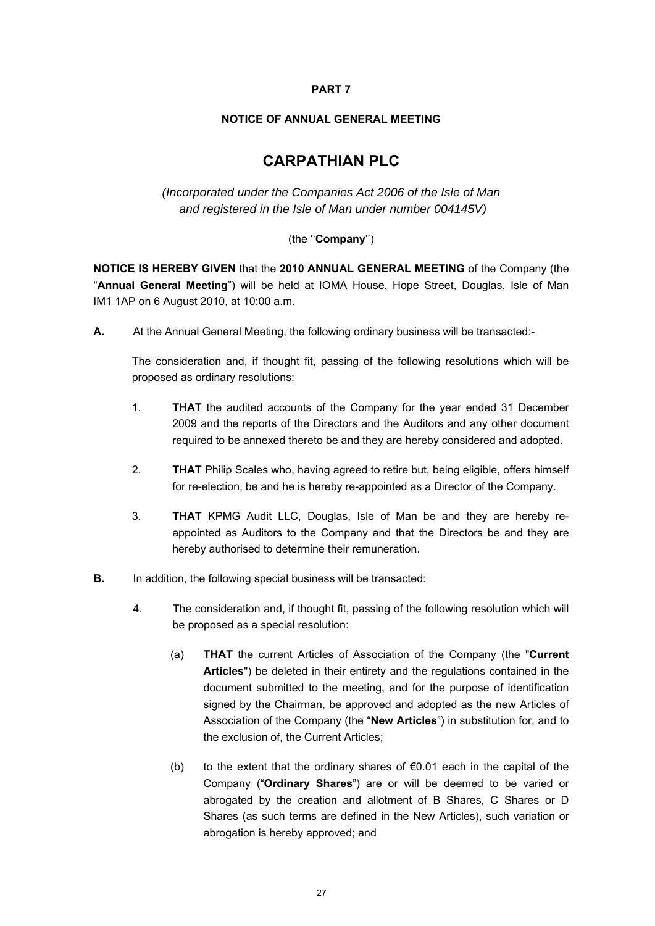## **NOTICE OF ANNUAL GENERAL MEETING**

# **CARPATHIAN PLC**

*(Incorporated under the Companies Act 2006 of the Isle of Man and registered in the Isle of Man under number 004145V)* 

## (the ''**Company**'')

**NOTICE IS HEREBY GIVEN** that the **2010 ANNUAL GENERAL MEETING** of the Company (the "**Annual General Meeting**") will be held at IOMA House, Hope Street, Douglas, Isle of Man IM1 1AP on 6 August 2010, at 10:00 a.m.

**A.** At the Annual General Meeting, the following ordinary business will be transacted:-

The consideration and, if thought fit, passing of the following resolutions which will be proposed as ordinary resolutions:

- 1. **THAT** the audited accounts of the Company for the year ended 31 December 2009 and the reports of the Directors and the Auditors and any other document required to be annexed thereto be and they are hereby considered and adopted.
- 2. **THAT** Philip Scales who, having agreed to retire but, being eligible, offers himself for re-election, be and he is hereby re-appointed as a Director of the Company.
- 3. **THAT** KPMG Audit LLC, Douglas, Isle of Man be and they are hereby reappointed as Auditors to the Company and that the Directors be and they are hereby authorised to determine their remuneration.
- **B.** In addition, the following special business will be transacted:
	- 4. The consideration and, if thought fit, passing of the following resolution which will be proposed as a special resolution:
		- (a) **THAT** the current Articles of Association of the Company (the "**Current Articles**") be deleted in their entirety and the regulations contained in the document submitted to the meeting, and for the purpose of identification signed by the Chairman, be approved and adopted as the new Articles of Association of the Company (the "**New Articles**") in substitution for, and to the exclusion of, the Current Articles;
		- (b) to the extent that the ordinary shares of  $\epsilon$ 0.01 each in the capital of the Company ("**Ordinary Shares**") are or will be deemed to be varied or abrogated by the creation and allotment of B Shares, C Shares or D Shares (as such terms are defined in the New Articles), such variation or abrogation is hereby approved; and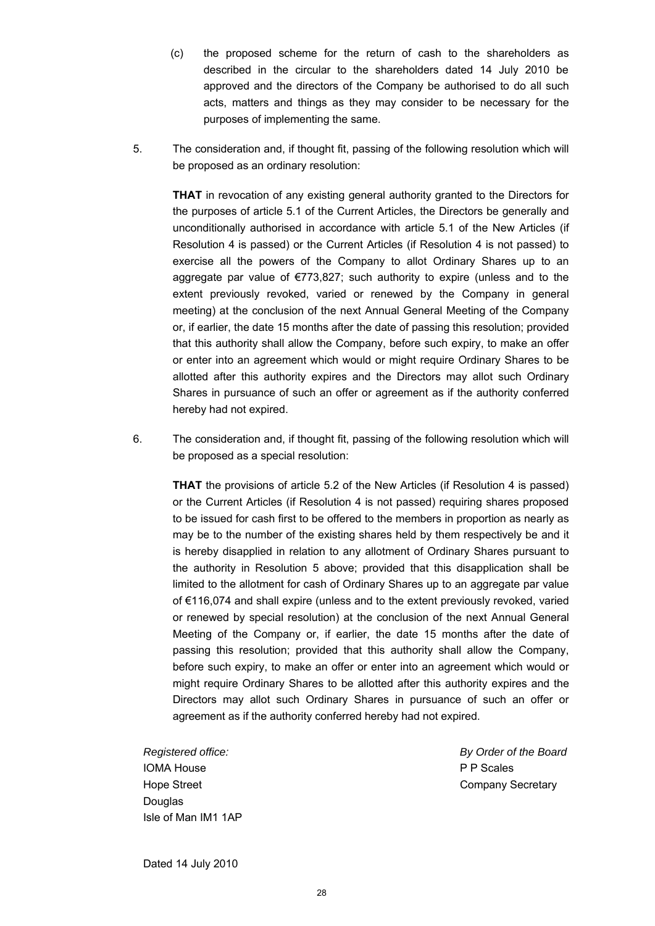- (c) the proposed scheme for the return of cash to the shareholders as approved and the directors of the Company be authorised to do all such acts, matters and things as they may consider to be necessary for the purposes of implementing the same. described in the circular to the shareholders dated 14 July 2010 be
- 5. The consideration and, if thought fit, passing of the following resolution which will be proposed as an ordinary resolution:

**THAT** in revocation of any existing general authority granted to the Directors for the purposes of article 5.1 of the Current Articles, the Directors be generally and unconditionally authorised in accordance with article 5.1 of the New Articles (if Resolution 4 is passed) or the Current Articles (if Resolution 4 is not passed) to exercise all the powers of the Company to allot Ordinary Shares up to an aggregate par value of €773,827; such authority to expire (unless and to the extent previously revoked, varied or renewed by the Company in general meeting) at the conclusion of the next Annual General Meeting of the Company or, if earlier, the date 15 months after the date of passing this resolution; provided that this authority shall allow the Company, before such expiry, to make an offer or enter into an agreement which would or might require Ordinary Shares to be allotted after this authority expires and the Directors may allot such Ordinary Shares in pursuance of such an offer or agreement as if the authority conferred hereby had not expired.

6. The consideration and, if thought fit, passing of the following resolution which will be proposed as a special resolution:

**THAT** the provisions of article 5.2 of the New Articles (if Resolution 4 is passed) or the Current Articles (if Resolution 4 is not passed) requiring shares proposed to be issued for cash first to be offered to the members in proportion as nearly as may be to the number of the existing shares held by them respectively be and it is hereby disapplied in relation to any allotment of Ordinary Shares pursuant to the authority in Resolution 5 above; provided that this disapplication shall be limited to the allotment for cash of Ordinary Shares up to an aggregate par value of €116,074 and shall expire (unless and to the extent previously revoked, varied or renewed by special resolution) at the conclusion of the next Annual General Meeting of the Company or, if earlier, the date 15 months after the date of passing this resolution; provided that this authority shall allow the Company, before such expiry, to make an offer or enter into an agreement which would or might require Ordinary Shares to be allotted after this authority expires and the Directors may allot such Ordinary Shares in pursuance of such an offer or agreement as if the authority conferred hereby had not expired.

*Registered office: By Order of the Board*  IOMA House P P Scales **Douglas** Isle of Man IM1 1AP

Hope Street **Company Secretary** 

Dated 14 July 2010